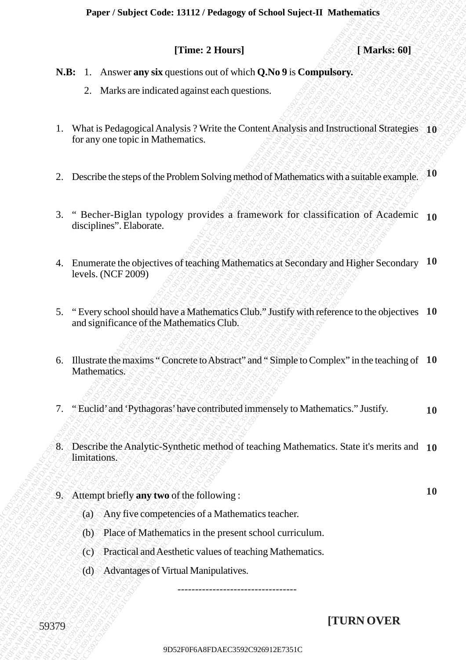### **Paper / Subject Code: 13112 / Pedagogy of School Suject-II Mathematics**

## **[Time: 2 Hours]** *SSS* **[Marks: 60]**

- **N.B:** 1. Answer **any six** questions out of which **Q.No 9** is **Compulsory.**
	- 2. Marks are indicated against each questions.
- **PERIC: 2 Hours | Tymes 2 Hours | Marks: 601**<br>
2. Marks: are indicated agents once divide QAbe 9 is Computatory.<br>
1. What's Pedagogical Analysis 7 Write the Content Analysis and Instructional Strategies | 10<br>
16 are any t **1288**<br>
12. Answer any six-questions ont of which QNo 934 Computes ry.<br>
2. Marks are indicated against each questions.<br>
13. What is reduced against each questions.<br>
13. What is reduced also also be control Analysis and In **FINIC 2 Hours)**<br> **SEC 1.** Answer and solven the strategy of the Content Analysis and Instructional Strategies 36<br>
1. What is Pedagogical Analysis 1NGe the Content Analysis and Instructional Strategies 36<br>
Turnsy one uppe 9D41 Comparison Concrete Concrete Comparison Concrete Comparison Concrete Comparison Concrete Comparison Concrete Comparison Comparison Comparison Comparison Comparison Comparison Comparison Comparison Comparison Compariso Paper Norfgett Conte 13112./Pedagogy of School Naglettell Mathematics<br>
(Thme: 2 Horns)<br>
7DER: 1. Amove any six questions out of which QNo 9 is Compulsory.<br>
2. Marks are indicated against each questions.<br>
1. What it belign **Paper / Subject T (Inter 2 Horns) [Thates: 60]**<br> **N.H:** 1. Answer any viera passions can of solvint Q Nu 9 is Computisory.<br>
2. Musk are independent and passions.<br>
1. Was in the model of given interference and passions. Paper / Stolyert Code: 13112 / Pedagog of School Super-IT Mathematics<br>
[Time: 2 Hours and sky-apations out of which QNo 9 is Compulsory.<br>
2. Varits are indicated ngamet esch questions.<br>
1. What is heliappy is Acquisitions Paper / Senkjet Code: 13112 / Pedagogy of School Sejecul T. Matehea 601<br>
1 S.B. 1 Answer any ske questions out of which Q No 9 is Computioners,<br>
2. Matta an indicated against exclusive for each of the Computioners,<br>
1 Wor **Paper / Subject Colec 13112 / Pedagogy of School Suject II Mathewaliday.**<br>
1 Nach Colec 2 Hours 1<br>
NR. 1. Answer any six questions out of which Q No 9 is Computions 3<br>
2. Marka such coleculated against each questions.<br>
1 **Paper / Subject Colec 13112 / Pedagogy of School Suject II Mathewaliday.**<br>
1 Nach Colec 2 Hours 1<br>
NR. 1. Answer any six questions out of which Q No 9 is Computions 3<br>
2. Marka such coleculated against each questions.<br>
1 **Paper / Subject Colec 13112 / Pedagogy of School Suject II Mathewaliday.**<br>
1 Nach Colec 2 Hours 1<br>
NR. 1. Answer any six questions out of which Q No 9 is Computions 3<br>
2. Marka such coleculated against each questions.<br>
1 Paper / Subject Code: 13112 / Pedagogy of School Suite-21 Mathematics<br>
[Thus: 2 1 Inners and the control of Code of Suite ONO9 is Compute over<br>
2 Natis as initiated against card updating<br>
1. Which is a transformation of t **Paper / Subject Code: 13112 / Pedagog: of School Sujectary. [These 2 Domal (Value 3) Computeurs: C.** Markes 69]<br> **8. H. E.** American pair paradions can obvioled Qubis 1. Computeurs.<br>
1. Watakara-kindendol against eac **Paper Sudject Code: 13112 / Pedagog of School Suject-II Matheastics (Time: 2 Honers)** (**Yaneks: 60]**<br> **N.B.** 1. Answer any six questions ont of which Q.No 9 is Compulsory,<br>
2. Marks are indicated against each questions.<br> Paper / Statjert Code: 13312 / Pedagog of School Sujetet II. Mathematics (That is equilibrium) (1988)<br>
1998 - Markin are indicated against each questions.<br>
1998 - Markin are indicated against each questions.<br>
1998 - Marki Paper / Statjact Croice 13112 / Pedagog of School Statistical (Mathematics [Three 2 Plones] (Marks: 60] Natio are individually applied to the diversions.<br>
2. Marks are individual and of which Q.No 9 is Computivory,<br>
2. Mar 9D<sub>0</sub>10er/Stolijed Coule: 13112 / Pothograph of School Super-IT Markons 601<br>
13DHz 1. Amover any six questions and of schich Q.No 9 is Compulsions,<br>
2. Markis we indicated updates conclusions.<br>
1. What is Polograpical Ama Proper / Sobject Code: 13112 / Probusyge of School Suject-IT Mathematics<br>
17 Fores 2 Hours | Chrones 2006<br>
2 Marks are indicated ugatas exact agrestions<br>
1. What is Pedagogical Analysis <sup>2</sup> Write the Content Analysis and Paper / Subject Code : IM12 / Predagage of School Suject-II Mathematics (That is expansion out of which Q.No 9 is Computency.<br>
2. Maths are indicated against each questions.<br>
1. What is Pedagogical Analysis ? Write the Co Paper / Subject Code: 13112 / Pedagogy of School Suject-IT Mathematics<br>
1 Marks: 60]<br>
N.H. 1. Answer any six questions out of which Q.No 9 is Compulsory.<br>
2. Marks are indicated ugainst exclupations.<br>
1. What is Pedagogica 1. What is Pedagogical Analysis ? Write the Content Analysis and Instructional Strategies **10** for any one topic in Mathematics.
	- 2. Describe the steps of the Problem Solving method of Mathematics with a suitable example. **10**
	- 3. " Becher-Biglan typology provides a framework for classification of Academic **10** disciplines". Elaborate.
	- 4. Enumerate the objectives of teaching Mathematics at Secondary and Higher Secondary **10** levels. (NCF 2009)
	- 5. " Every school should have a Mathematics Club." Justify with reference to the objectives **10** and significance of the Mathematics Club.
	- 6. Illustrate the maxims " Concrete to Abstract" and " Simple to Complex" in the teaching of **10** Mathematics.
	- 7. " Euclid' and 'Pythagoras' have contributed immensely to Mathematics." Justify. **10**
	- 8. Describe the Analytic-Synthetic method of teaching Mathematics. State it's merits and **10** limitations.
	- 9. Attempt briefly **any two** of the following :
		- (a) Any five competencies of a Mathematics teacher.
		- (b) Place of Mathematics in the present school curriculum.
		- (c) Practical and Aesthetic values of teaching Mathematics.
		- (d) Advantages of Virtual Manipulatives.

# **[TURN OVER**

**10**

----------------------------------

59379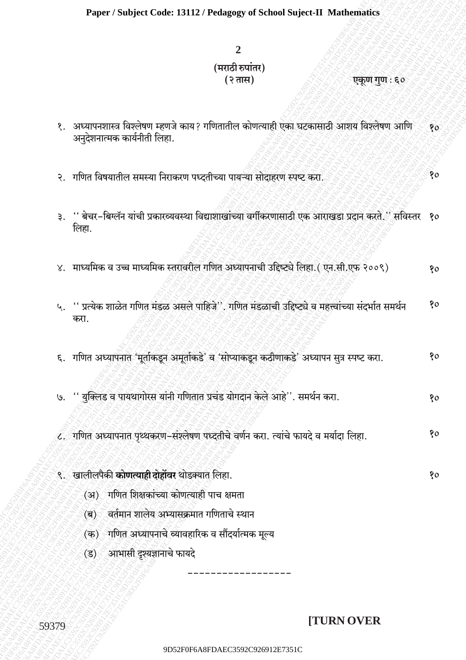# $\overline{2}$ (मराठी रुपांतर) (२ तास)

### एकूण गुण : ६०

 $80$ 

80

- १. अध्यापनशास्त्र विश्लेषण म्हणजे काय? गणितातील कोणत्याही एका घटकासाठी आशय विश्लेषण आणि  $80$ अन्देशनात्मक कार्यनीती लिहा.
- २. गणित विषयातील समस्या निराकरण पध्दतीच्या पायऱ्या सोदाहरण स्पष्ट करा.
- ३. '' बेचर-बिग्लॅन यांची प्रकारव्यवस्था विद्याशाखांच्या वर्गीकरणासाठी एक आराखडा प्रदान करते.'' सविस्तर १० लिहा.
- ४. माध्यमिक व उच्च माध्यमिक स्तरावरील गणित अध्यापनाची उद्दिष्ट्ये लिहा. (एन.सी.एफ २००९)  $80$
- ५. '' प्रत्येक शाळेत गणित मंडळ असले पाहिजे''. गणित मंडळाची उद्दिष्ट्ये व महत्त्वांच्या संदर्भात समर्थन  $80$ करा.
- ६. गणित अध्यापनात 'मूर्ताकडून अमृतकिडे' व 'सोप्याकडून कठीणाकडे' अध्यापन सूत्र स्पष्ट करा. 80
- '' युक्लिड व पायथागोरस यांनी गणितात प्रचंड योगदान केले आहे''. समर्थन करा.  $\Theta$ . 80
- ८. गणित अध्यापनात पृथ्थकरण-संश्लेषण पध्दतीचे वर्णन करा. त्यांचे फायदे व मर्यादा लिहा.  $80$
- ९. खालीलपैकी **कोणत्याही दोहोंवर** थोडक्यात लिहा.
	- (अ) गणित शिक्षकांच्या कोणत्याही पाच क्षमता
	- (ब) वर्तमान शालेय अभ्यासक्रमात गणिताचे स्थान
	- (क) गणित अध्यापनाचे व्यावहारिक व सौंदर्यात्मक मूल्य
	- (ड) आभासी दृश्यज्ञानाचे फायदे

# **TURN OVER**